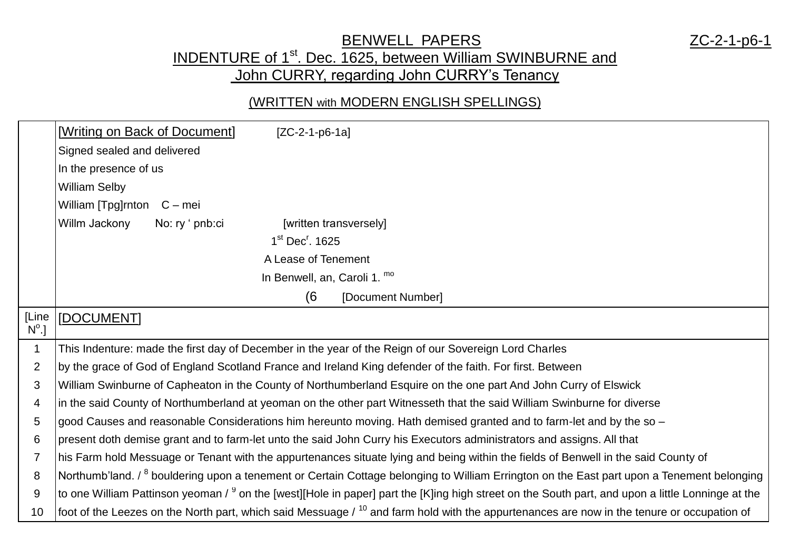### BENWELL PAPERS ZC-2-1-p6-1

## INDENTURE of 1<sup>st</sup>. Dec. 1625, between William SWINBURNE and John CURRY, regarding John CURRY's Tenancy

#### (WRITTEN with MODERN ENGLISH SPELLINGS)

|                         | [Writing on Back of Document]<br>$[ZC-2-1-p6-1a]$                                                                                                            |
|-------------------------|--------------------------------------------------------------------------------------------------------------------------------------------------------------|
|                         | Signed sealed and delivered                                                                                                                                  |
|                         | In the presence of us                                                                                                                                        |
|                         | <b>William Selby</b>                                                                                                                                         |
|                         | William [Tpg]rnton C - mei                                                                                                                                   |
|                         | Willm Jackony<br>No: ry ' pnb:ci<br>[written transversely]                                                                                                   |
|                         | $1st$ Dec <sup>r</sup> . 1625                                                                                                                                |
|                         | A Lease of Tenement                                                                                                                                          |
|                         | In Benwell, an, Caroli 1. mo                                                                                                                                 |
|                         | (6<br>[Document Number]                                                                                                                                      |
| [Line<br>$N^{\circ}$ .] | [DOCUMENT]                                                                                                                                                   |
| $\mathbf 1$             | This Indenture: made the first day of December in the year of the Reign of our Sovereign Lord Charles                                                        |
| $\overline{2}$          | by the grace of God of England Scotland France and Ireland King defender of the faith. For first. Between                                                    |
| 3                       | William Swinburne of Capheaton in the County of Northumberland Esquire on the one part And John Curry of Elswick                                             |
| 4                       | in the said County of Northumberland at yeoman on the other part Witnesseth that the said William Swinburne for diverse                                      |
| 5                       | good Causes and reasonable Considerations him hereunto moving. Hath demised granted and to farm-let and by the so -                                          |
| 6                       | present doth demise grant and to farm-let unto the said John Curry his Executors administrators and assigns. All that                                        |
| 7                       | his Farm hold Messuage or Tenant with the appurtenances situate lying and being within the fields of Benwell in the said County of                           |
| 8                       | Northumb'land. / <sup>8</sup> bouldering upon a tenement or Certain Cottage belonging to William Errington on the East part upon a Tenement belonging        |
| 9                       | to one William Pattinson yeoman / <sup>9</sup> on the [west][Hole in paper] part the [K]ing high street on the South part, and upon a little Lonninge at the |
| 10                      | foot of the Leezes on the North part, which said Messuage / <sup>10</sup> and farm hold with the appurtenances are now in the tenure or occupation of        |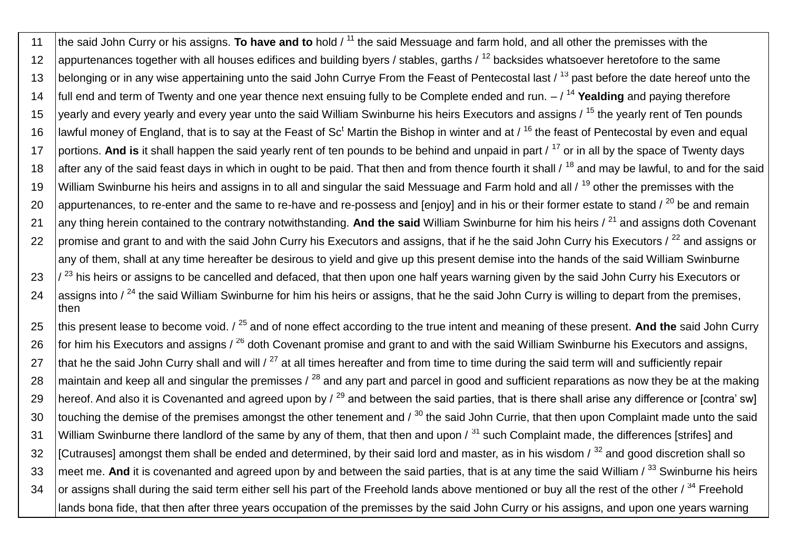11 the said John Curry or his assigns. **To have and to** hold / <sup>11</sup> the said Messuage and farm hold, and all other the premisses with the 12 appurtenances together with all houses edifices and building byers / stables, garths /  $^{12}$  backsides whatsoever heretofore to the same 13 belonging or in any wise appertaining unto the said John Currye From the Feast of Pentecostal last / <sup>13</sup> past before the date hereof unto the 14 full end and term of Twenty and one year thence next ensuing fully to be Complete ended and run. – / <sup>14</sup> **Yealding** and paying therefore 15 yearly and every yearly and every year unto the said William Swinburne his heirs Executors and assigns / <sup>15</sup> the yearly rent of Ten pounds 16 | lawful money of England, that is to say at the Feast of Sc<sup>t</sup> Martin the Bishop in winter and at  $/16$  the feast of Pentecostal by even and equal 17 portions. **And is** it shall happen the said yearly rent of ten pounds to be behind and unpaid in part / <sup>17</sup> or in all by the space of Twenty days 18 after any of the said feast days in which in ought to be paid. That then and from thence fourth it shall / <sup>18</sup> and may be lawful, to and for the said 19 William Swinburne his heirs and assigns in to all and singular the said Messuage and Farm hold and all / <sup>19</sup> other the premisses with the 20 appurtenances, to re-enter and the same to re-have and re-possess and [enjoy] and in his or their former estate to stand  $\ell^{20}$  be and remain 21 any thing herein contained to the contrary notwithstanding. And the said William Swinburne for him his heirs /<sup>21</sup> and assigns doth Covenant 22 | promise and grant to and with the said John Curry his Executors and assigns, that if he the said John Curry his Executors / <sup>22</sup> and assigns or any of them, shall at any time hereafter be desirous to yield and give up this present demise into the hands of the said William Swinburne  $23$   $\frac{1}{23}$  his heirs or assigns to be cancelled and defaced, that then upon one half years warning given by the said John Curry his Executors or 24 assigns into  $\ell^{24}$  the said William Swinburne for him his heirs or assigns, that he the said John Curry is willing to depart from the premises, then

25 this present lease to become void. / <sup>25</sup> and of none effect according to the true intent and meaning of these present. And the said John Curry 26 for him his Executors and assigns /  $^{26}$  doth Covenant promise and grant to and with the said William Swinburne his Executors and assigns, 27  $\frac{1}{2}$  that he the said John Curry shall and will / <sup>27</sup> at all times hereafter and from time to time during the said term will and sufficiently repair 28 maintain and keep all and singular the premisses /  $^{28}$  and any part and parcel in good and sufficient reparations as now they be at the making 29 hereof. And also it is Covenanted and agreed upon by  $\ell^{29}$  and between the said parties, that is there shall arise any difference or [contra' sw] 30  $\,$  touching the demise of the premises amongst the other tenement and /  $^{30}$  the said John Currie, that then upon Complaint made unto the said 31 William Swinburne there landlord of the same by any of them, that then and upon  $\beta$ <sup>31</sup> such Complaint made, the differences [strifes] and 32  $\parallel$  [Cutrauses] amongst them shall be ended and determined, by their said lord and master, as in his wisdom  $\frac{1}{2}$  and good discretion shall so 33 | meet me. And it is covenanted and agreed upon by and between the said parties, that is at any time the said William / <sup>33</sup> Swinburne his heirs 34  $\,$  or assigns shall during the said term either sell his part of the Freehold lands above mentioned or buy all the rest of the other /  $^{34}$  Freehold lands bona fide, that then after three years occupation of the premisses by the said John Curry or his assigns, and upon one years warning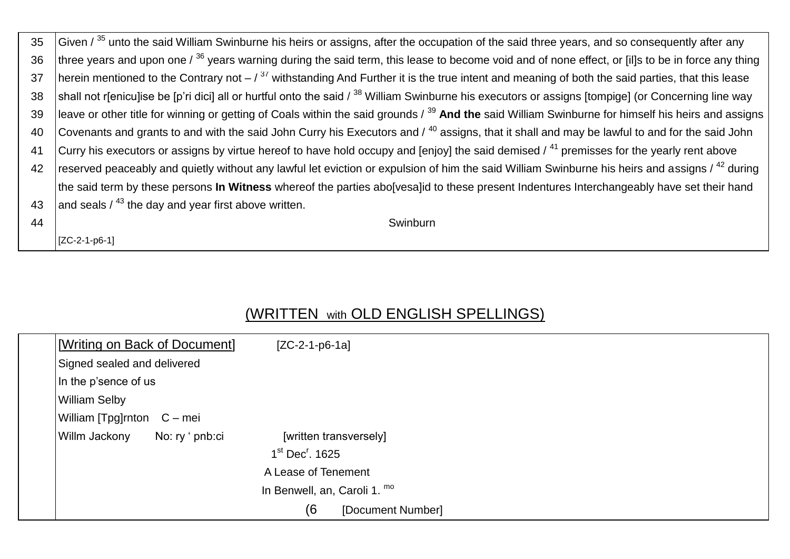| 35 | Given / 35 unto the said William Swinburne his heirs or assigns, after the occupation of the said three years, and so consequently after any                   |
|----|----------------------------------------------------------------------------------------------------------------------------------------------------------------|
| 36 | three years and upon one / $^{36}$ years warning during the said term, this lease to become void and of none effect, or [il]s to be in force any thing         |
| 37 | herein mentioned to the Contrary not $-$ / $^{37}$ withstanding And Further it is the true intent and meaning of both the said parties, that this lease        |
| 38 | shall not r[enicu]ise be [p'ri dici] all or hurtful onto the said / <sup>38</sup> William Swinburne his executors or assigns [tompige] (or Concerning line way |
| 39 | leave or other title for winning or getting of Coals within the said grounds / 39 And the said William Swinburne for himself his heirs and assigns             |
| 40 | Covenants and grants to and with the said John Curry his Executors and $/$ <sup>40</sup> assigns, that it shall and may be lawful to and for the said John     |
| 41 | Curry his executors or assigns by virtue hereof to have hold occupy and [enjoy] the said demised $\ell^{41}$ premisses for the yearly rent above               |
| 42 | reserved peaceably and quietly without any lawful let eviction or expulsion of him the said William Swinburne his heirs and assigns / <sup>42</sup> during     |
|    | the said term by these persons <b>In Witness</b> whereof the parties abo[vesa]id to these present Indentures Interchangeably have set their hand               |
| 43 | and seals $/$ <sup>43</sup> the day and year first above written.                                                                                              |
| 44 | Swinburn                                                                                                                                                       |

[ZC-2-1-p6-1]

# (WRITTEN with OLD ENGLISH SPELLINGS)

| [Writing on Back of Document] |                 | $[ZC-2-1-p6-1a]$              |                        |
|-------------------------------|-----------------|-------------------------------|------------------------|
| Signed sealed and delivered   |                 |                               |                        |
| In the p'sence of us          |                 |                               |                        |
| <b>William Selby</b>          |                 |                               |                        |
| William [Tpg]rnton C – mei    |                 |                               |                        |
| Willm Jackony                 | No: ry ' pnb:ci |                               | [written transversely] |
|                               |                 | $1st$ Dec <sup>r</sup> , 1625 |                        |
|                               |                 | A Lease of Tenement           |                        |
|                               |                 | In Benwell, an, Caroli 1. mo  |                        |
|                               |                 | (6                            | [Document Number]      |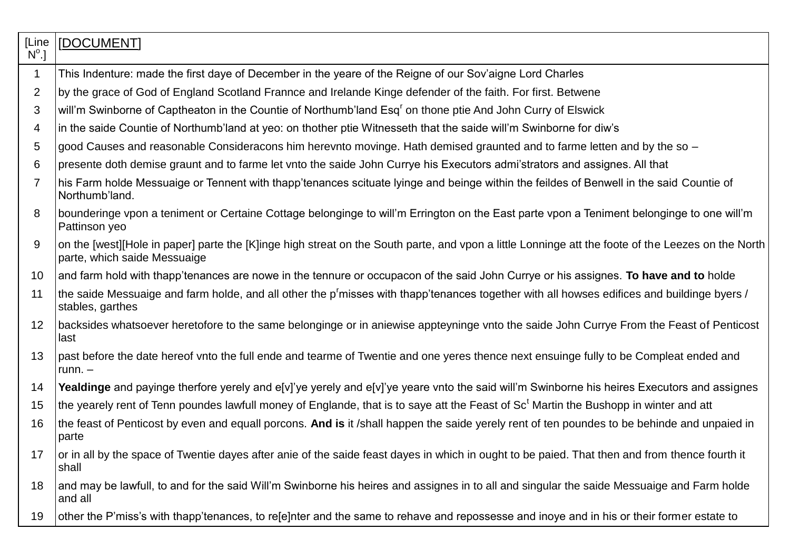| [Line<br>$N^{\circ}$ .] | [DOCUMENT]                                                                                                                                                                           |
|-------------------------|--------------------------------------------------------------------------------------------------------------------------------------------------------------------------------------|
| $\mathbf 1$             | This Indenture: made the first daye of December in the yeare of the Reigne of our Sov'aigne Lord Charles                                                                             |
| $\overline{2}$          | by the grace of God of England Scotland Frannce and Irelande Kinge defender of the faith. For first. Betwene                                                                         |
| 3                       | will'm Swinborne of Captheaton in the Countie of Northumb'land Esq <sup>r</sup> on thone ptie And John Curry of Elswick                                                              |
| 4                       | in the saide Countie of Northumb'land at yeo: on thother ptie Witnesseth that the saide will'm Swinborne for diw's                                                                   |
| 5                       | good Causes and reasonable Consideracons him herevnto movinge. Hath demised graunted and to farme letten and by the so -                                                             |
| 6                       | presente doth demise graunt and to farme let vnto the saide John Currye his Executors admi'strators and assignes. All that                                                           |
| 7                       | his Farm holde Messuaige or Tennent with thapp'tenances scituate lyinge and beinge within the feildes of Benwell in the said Countie of<br>Northumb'land.                            |
| 8                       | bounderinge vpon a teniment or Certaine Cottage belonginge to will'm Errington on the East parte vpon a Teniment belonginge to one will'm<br>Pattinson yeo                           |
| 9                       | on the [west][Hole in paper] parte the [K]inge high streat on the South parte, and vpon a little Lonninge att the foote of the Leezes on the North  <br>parte, which saide Messuaige |
| 10                      | and farm hold with thapp'tenances are nowe in the tennure or occupacon of the said John Currye or his assignes. To have and to holde                                                 |
| 11                      | the saide Messuaige and farm holde, and all other the p'misses with thapp'tenances together with all howses edifices and buildinge byers /<br>stables, garthes                       |
| 12                      | backsides whatsoever heretofore to the same belonginge or in aniewise appteyninge vnto the saide John Currye From the Feast of Penticost<br>last                                     |
| 13                      | past before the date hereof vnto the full ende and tearme of Twentie and one yeres thence next ensuinge fully to be Compleat ended and<br>runn. $-$                                  |
| 14                      | Yealdinge and payinge therfore yerely and e[v]'ye yerely and e[v]'ye yeare vnto the said will'm Swinborne his heires Executors and assignes                                          |
| 15                      | the yearely rent of Tenn poundes lawfull money of Englande, that is to saye att the Feast of Sc <sup>t</sup> Martin the Bushopp in winter and att                                    |
| 16                      | the feast of Penticost by even and equall porcons. And is it /shall happen the saide yerely rent of ten poundes to be behinde and unpaied in<br>parte                                |
| 17                      | or in all by the space of Twentie dayes after anie of the saide feast dayes in which in ought to be paied. That then and from thence fourth it<br>shall                              |
| 18                      | and may be lawfull, to and for the said Will'm Swinborne his heires and assignes in to all and singular the saide Messuaige and Farm holde<br>and all                                |
| 19                      | other the P'miss's with thapp'tenances, to re[e]nter and the same to rehave and repossesse and inoye and in his or their former estate to                                            |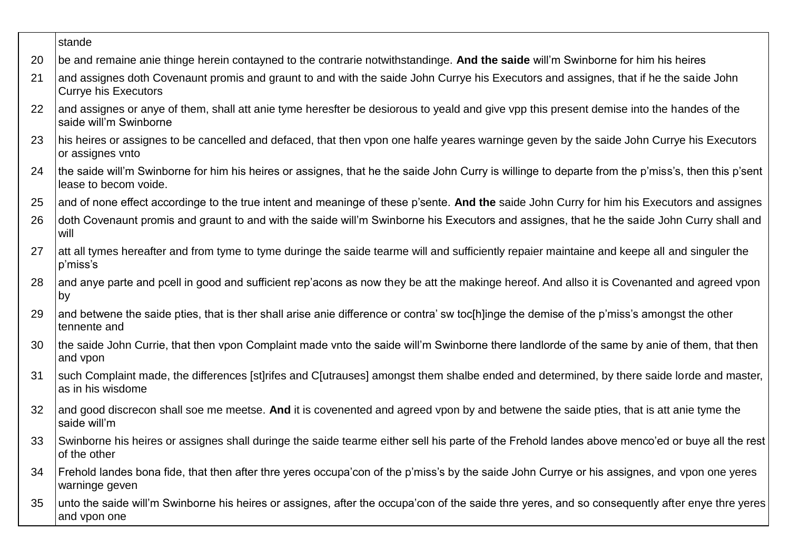|    | stande                                                                                                                                                                      |
|----|-----------------------------------------------------------------------------------------------------------------------------------------------------------------------------|
| 20 | be and remaine anie thinge herein contayned to the contrarie notwithstandinge. And the saide will'm Swinborne for him his heires                                            |
| 21 | and assignes doth Covenaunt promis and graunt to and with the saide John Currye his Executors and assignes, that if he the saide John<br><b>Currye his Executors</b>        |
| 22 | and assignes or anye of them, shall att anie tyme heresfter be desiorous to yeald and give vpp this present demise into the handes of the<br>saide will'm Swinborne         |
| 23 | his heires or assignes to be cancelled and defaced, that then vpon one halfe yeares warninge geven by the saide John Currye his Executors<br>or assignes vnto               |
| 24 | the saide will'm Swinborne for him his heires or assignes, that he the saide John Curry is willinge to departe from the p'miss's, then this p'sent<br>lease to becom voide. |
| 25 | and of none effect accordinge to the true intent and meaninge of these p'sente. And the saide John Curry for him his Executors and assignes                                 |
| 26 | doth Covenaunt promis and graunt to and with the saide will'm Swinborne his Executors and assignes, that he the saide John Curry shall and<br>will                          |
| 27 | att all tymes hereafter and from tyme to tyme duringe the saide tearme will and sufficiently repaier maintaine and keepe all and singuler the<br>p'miss's                   |
| 28 | and anye parte and pcell in good and sufficient rep'acons as now they be att the makinge hereof. And allso it is Covenanted and agreed vpon<br>by                           |
| 29 | and betwene the saide pties, that is ther shall arise anie difference or contra' sw toc[h]inge the demise of the p'miss's amongst the other<br>tennente and                 |
| 30 | the saide John Currie, that then vpon Complaint made vnto the saide will'm Swinborne there landlorde of the same by anie of them, that then<br>and vpon                     |
| 31 | such Complaint made, the differences [st]rifes and C[utrauses] amongst them shalbe ended and determined, by there saide lorde and master,<br>as in his wisdome              |
| 32 | and good discrecon shall soe me meetse. And it is covenented and agreed vpon by and betwene the saide pties, that is att anie tyme the<br>saide will'm                      |
| 33 | Swinborne his heires or assignes shall duringe the saide tearme either sell his parte of the Frehold landes above menco'ed or buye all the rest<br>of the other             |
| 34 | Frehold landes bona fide, that then after thre yeres occupa'con of the p'miss's by the saide John Currye or his assignes, and vpon one yeres<br>warninge geven              |
| 35 | unto the saide will'm Swinborne his heires or assignes, after the occupa'con of the saide thre yeres, and so consequently after enye thre yeres<br>and vpon one             |